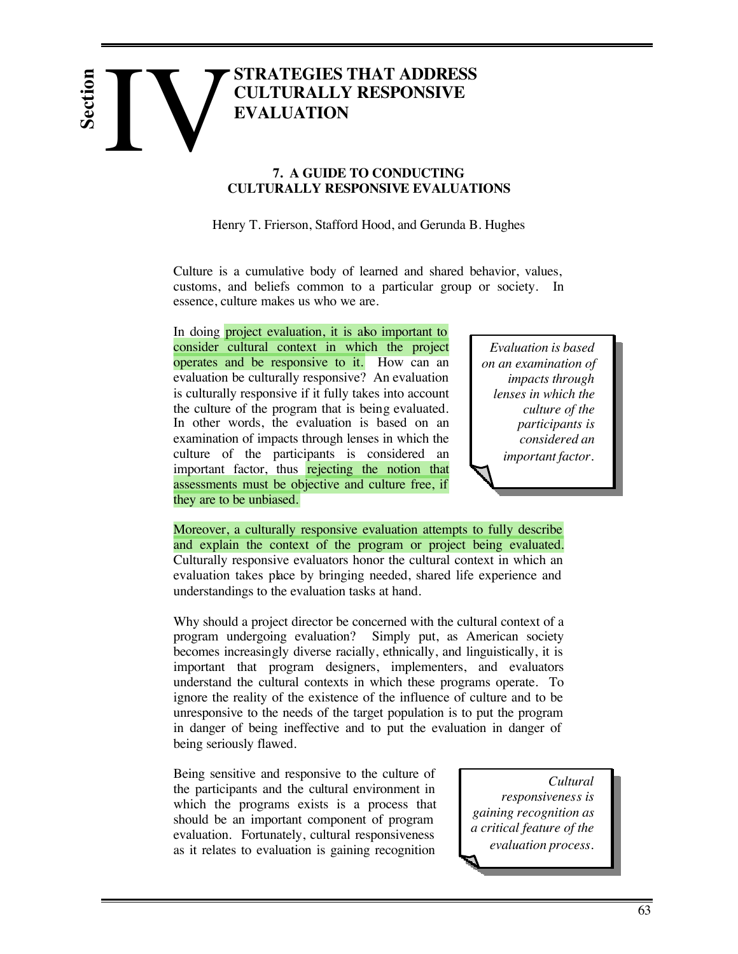# **STRATEGIES THAT ADDRESS CULTURALLY RESPONSIVE EVALUATION** IV EVA **Section**

# **7. A GUIDE TO CONDUCTING CULTURALLY RESPONSIVE EVALUATIONS**

Henry T. Frierson, Stafford Hood, and Gerunda B. Hughes

Culture is a cumulative body of learned and shared behavior, values, customs, and beliefs common to a particular group or society. In essence, culture makes us who we are.

In doing **project evaluation**, it is also important to consider cultural context in which the project operates and be responsive to it. How can an evaluation be culturally responsive? An evaluation is culturally responsive if it fully takes into account the culture of the program that is being evaluated. In other words, the evaluation is based on an examination of impacts through lenses in which the culture of the participants is considered an important factor, thus rejecting the notion that assessments must be objective and culture free, if they are to be unbiased.

*Evaluation is based on an examination of impacts through lenses in which the culture of the participants is considered an important factor.*

Moreover, a culturally responsive evaluation attempts to fully describe and explain the context of the program or project being evaluated. Culturally responsive evaluators honor the cultural context in which an evaluation takes place by bringing needed, shared life experience and understandings to the evaluation tasks at hand.

Why should a project director be concerned with the cultural context of a program undergoing evaluation? Simply put, as American society becomes increasingly diverse racially, ethnically, and linguistically, it is important that program designers, implementers, and evaluators understand the cultural contexts in which these programs operate. To ignore the reality of the existence of the influence of culture and to be unresponsive to the needs of the target population is to put the program in danger of being ineffective and to put the evaluation in danger of being seriously flawed.

Being sensitive and responsive to the culture of the participants and the cultural environment in which the programs exists is a process that should be an important component of program evaluation. Fortunately, cultural responsiveness as it relates to evaluation is gaining recognition

*Cultural responsiveness is gaining recognition as a critical feature of the evaluation process.*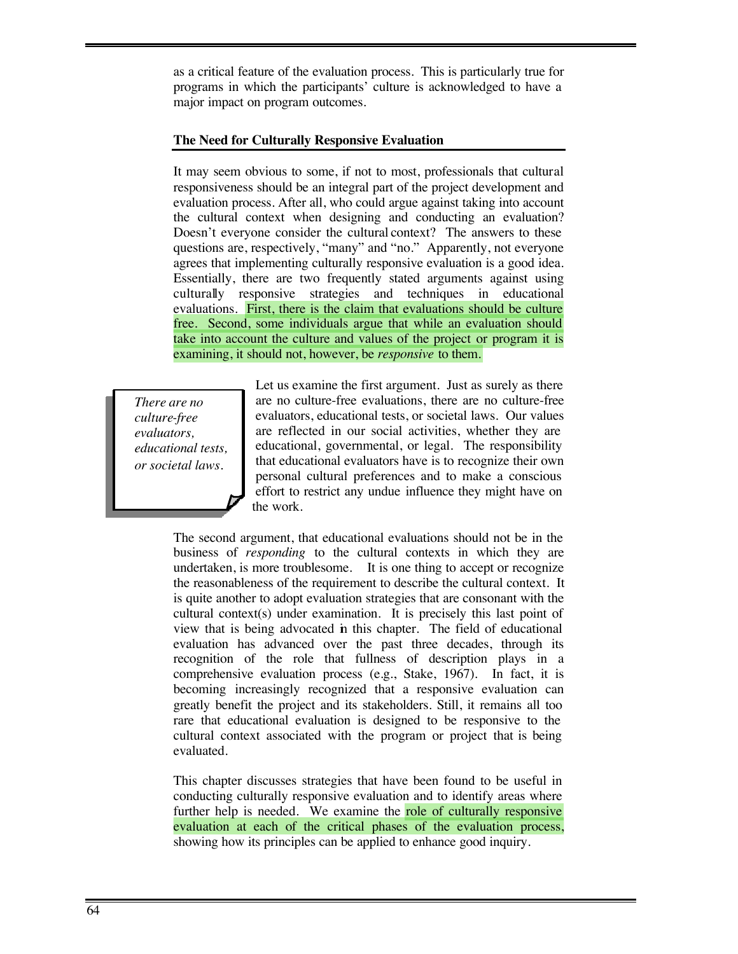as a critical feature of the evaluation process. This is particularly true for programs in which the participants' culture is acknowledged to have a major impact on program outcomes.

# **The Need for Culturally Responsive Evaluation**

It may seem obvious to some, if not to most, professionals that cultural responsiveness should be an integral part of the project development and evaluation process. After all, who could argue against taking into account the cultural context when designing and conducting an evaluation? Doesn't everyone consider the cultural context? The answers to these questions are, respectively, "many" and "no." Apparently, not everyone agrees that implementing culturally responsive evaluation is a good idea. Essentially, there are two frequently stated arguments against using culturally responsive strategies and techniques in educational evaluations. First, there is the claim that evaluations should be culture free. Second, some individuals argue that while an evaluation should take into account the culture and values of the project or program it is examining, it should not, however, be *responsive* to them.

*There are no culture-free evaluators, educational tests, or societal laws.*

Let us examine the first argument. Just as surely as there are no culture-free evaluations, there are no culture-free evaluators, educational tests, or societal laws. Our values are reflected in our social activities, whether they are educational, governmental, or legal. The responsibility that educational evaluators have is to recognize their own personal cultural preferences and to make a conscious effort to restrict any undue influence they might have on the work.

The second argument, that educational evaluations should not be in the business of *responding* to the cultural contexts in which they are undertaken, is more troublesome. It is one thing to accept or recognize the reasonableness of the requirement to describe the cultural context. It is quite another to adopt evaluation strategies that are consonant with the cultural context(s) under examination. It is precisely this last point of view that is being advocated in this chapter. The field of educational evaluation has advanced over the past three decades, through its recognition of the role that fullness of description plays in a comprehensive evaluation process (e.g., Stake, 1967). In fact, it is becoming increasingly recognized that a responsive evaluation can greatly benefit the project and its stakeholders. Still, it remains all too rare that educational evaluation is designed to be responsive to the cultural context associated with the program or project that is being evaluated.

This chapter discusses strategies that have been found to be useful in conducting culturally responsive evaluation and to identify areas where further help is needed. We examine the role of culturally responsive evaluation at each of the critical phases of the evaluation process, showing how its principles can be applied to enhance good inquiry.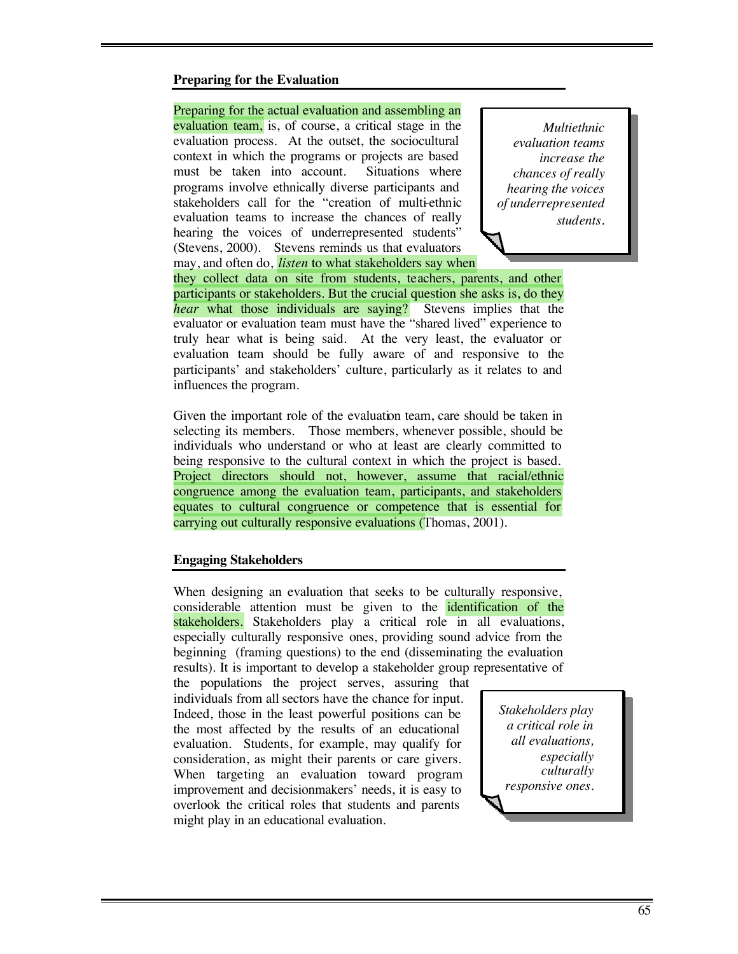# **Preparing for the Evaluation**

#### Preparing for the actual evaluation and assembling an

evaluation team, is, of course, a critical stage in the evaluation process. At the outset, the sociocultural context in which the programs or projects are based must be taken into account. Situations where programs involve ethnically diverse participants and stakeholders call for the "creation of multi-ethnic evaluation teams to increase the chances of really hearing the voices of underrepresented students" (Stevens, 2000). Stevens reminds us that evaluators may, and often do, *listen* to what stakeholders say when

*Multiethnic evaluation teams increase the chances of really hearing the voices of underrepresented students.*

they collect data on site from students, teachers, parents, and other participants or stakeholders. But the crucial question she asks is, do they *hear* what those individuals are saying? Stevens implies that the evaluator or evaluation team must have the "shared lived" experience to truly hear what is being said. At the very least, the evaluator or evaluation team should be fully aware of and responsive to the participants' and stakeholders' culture, particularly as it relates to and influences the program.

Given the important role of the evaluation team, care should be taken in selecting its members. Those members, whenever possible, should be individuals who understand or who at least are clearly committed to being responsive to the cultural context in which the project is based. Project directors should not, however, assume that racial/ethnic congruence among the evaluation team, participants, and stakeholders equates to cultural congruence or competence that is essential for carrying out culturally responsive evaluations (Thomas, 2001).

## **Engaging Stakeholders**

When designing an evaluation that seeks to be culturally responsive, considerable attention must be given to the identification of the stakeholders. Stakeholders play a critical role in all evaluations, especially culturally responsive ones, providing sound advice from the beginning (framing questions) to the end (disseminating the evaluation results). It is important to develop a stakeholder group representative of

the populations the project serves, assuring that individuals from all sectors have the chance for input. Indeed, those in the least powerful positions can be the most affected by the results of an educational evaluation. Students, for example, may qualify for consideration, as might their parents or care givers. When targeting an evaluation toward program improvement and decisionmakers' needs, it is easy to overlook the critical roles that students and parents might play in an educational evaluation.

*Stakeholders play a critical role in all evaluations, especially culturally responsive ones.*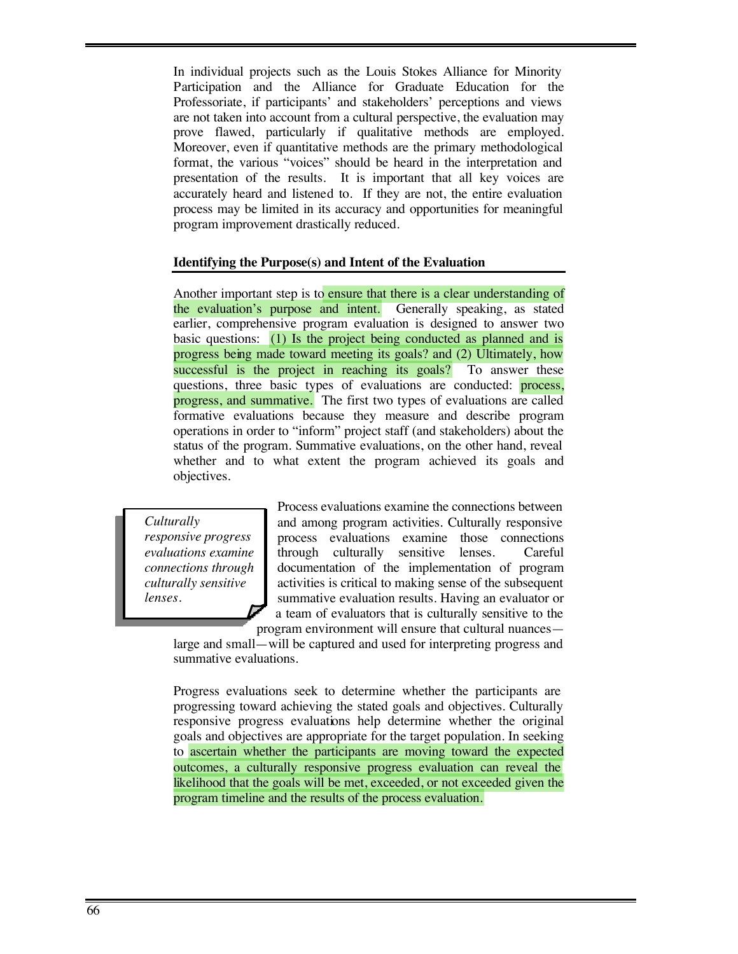In individual projects such as the Louis Stokes Alliance for Minority Participation and the Alliance for Graduate Education for the Professoriate, if participants' and stakeholders' perceptions and views are not taken into account from a cultural perspective, the evaluation may prove flawed, particularly if qualitative methods are employed. Moreover, even if quantitative methods are the primary methodological format, the various "voices" should be heard in the interpretation and presentation of the results. It is important that all key voices are accurately heard and listened to. If they are not, the entire evaluation process may be limited in its accuracy and opportunities for meaningful program improvement drastically reduced.

## **Identifying the Purpose(s) and Intent of the Evaluation**

Another important step is to ensure that there is a clear understanding of the evaluation's purpose and intent. Generally speaking, as stated earlier, comprehensive program evaluation is designed to answer two basic questions: (1) Is the project being conducted as planned and is progress being made toward meeting its goals? and (2) Ultimately, how successful is the project in reaching its goals? To answer these questions, three basic types of evaluations are conducted: **process**, progress, and summative. The first two types of evaluations are called formative evaluations because they measure and describe program operations in order to "inform" project staff (and stakeholders) about the status of the program. Summative evaluations, on the other hand, reveal whether and to what extent the program achieved its goals and objectives.

*Culturally responsive progress evaluations examine connections through culturally sensitive lenses.*

Process evaluations examine the connections between and among program activities. Culturally responsive process evaluations examine those connections through culturally sensitive lenses. Careful documentation of the implementation of program activities is critical to making sense of the subsequent summative evaluation results. Having an evaluator or a team of evaluators that is culturally sensitive to the program environment will ensure that cultural nuances—

large and small—will be captured and used for interpreting progress and summative evaluations.

Progress evaluations seek to determine whether the participants are progressing toward achieving the stated goals and objectives. Culturally responsive progress evaluations help determine whether the original goals and objectives are appropriate for the target population. In seeking to ascertain whether the participants are moving toward the expected outcomes, a culturally responsive progress evaluation can reveal the likelihood that the goals will be met, exceeded, or not exceeded given the program timeline and the results of the process evaluation.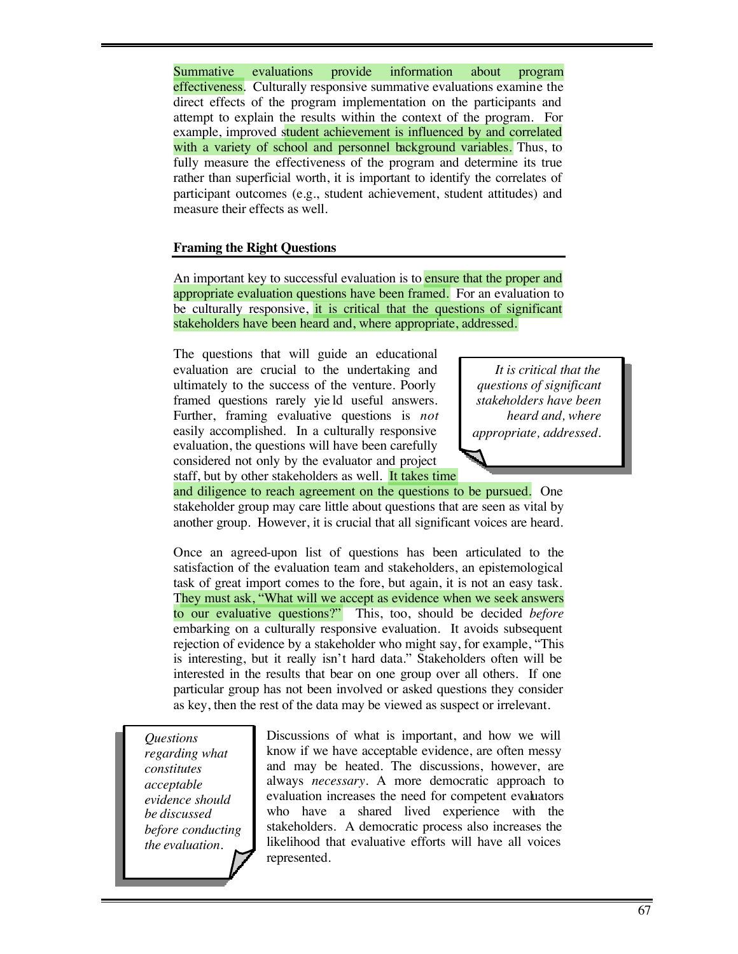Summative evaluations provide information about program effectiveness. Culturally responsive summative evaluations examine the direct effects of the program implementation on the participants and attempt to explain the results within the context of the program. For example, improved student achievement is influenced by and correlated with a variety of school and personnel background variables. Thus, to fully measure the effectiveness of the program and determine its true rather than superficial worth, it is important to identify the correlates of participant outcomes (e.g., student achievement, student attitudes) and measure their effects as well.

# **Framing the Right Questions**

An important key to successful evaluation is to ensure that the proper and appropriate evaluation questions have been framed. For an evaluation to be culturally responsive, it is critical that the questions of significant stakeholders have been heard and, where appropriate, addressed.

The questions that will guide an educational evaluation are crucial to the undertaking and ultimately to the success of the venture. Poorly framed questions rarely yie ld useful answers. Further, framing evaluative questions is *not* easily accomplished. In a culturally responsive evaluation, the questions will have been carefully considered not only by the evaluator and project

*It is critical that the questions of significant stakeholders have been heard and, where appropriate, addressed.*

staff, but by other stakeholders as well. It takes time

and diligence to reach agreement on the questions to be pursued. One stakeholder group may care little about questions that are seen as vital by another group. However, it is crucial that all significant voices are heard.

Once an agreed-upon list of questions has been articulated to the satisfaction of the evaluation team and stakeholders, an epistemological task of great import comes to the fore, but again, it is not an easy task. They must ask, "What will we accept as evidence when we seek answers to our evaluative questions?" This, too, should be decided *before* embarking on a culturally responsive evaluation. It avoids subsequent rejection of evidence by a stakeholder who might say, for example, "This is interesting, but it really isn't hard data." Stakeholders often will be interested in the results that bear on one group over all others. If one particular group has not been involved or asked questions they consider as key, then the rest of the data may be viewed as suspect or irrelevant.

*Questions regarding what constitutes acceptable evidence should be discussed before conducting the evaluation.*

Discussions of what is important, and how we will know if we have acceptable evidence, are often messy and may be heated. The discussions, however, are always *necessary*. A more democratic approach to evaluation increases the need for competent evaluators who have a shared lived experience with the stakeholders. A democratic process also increases the likelihood that evaluative efforts will have all voices represented.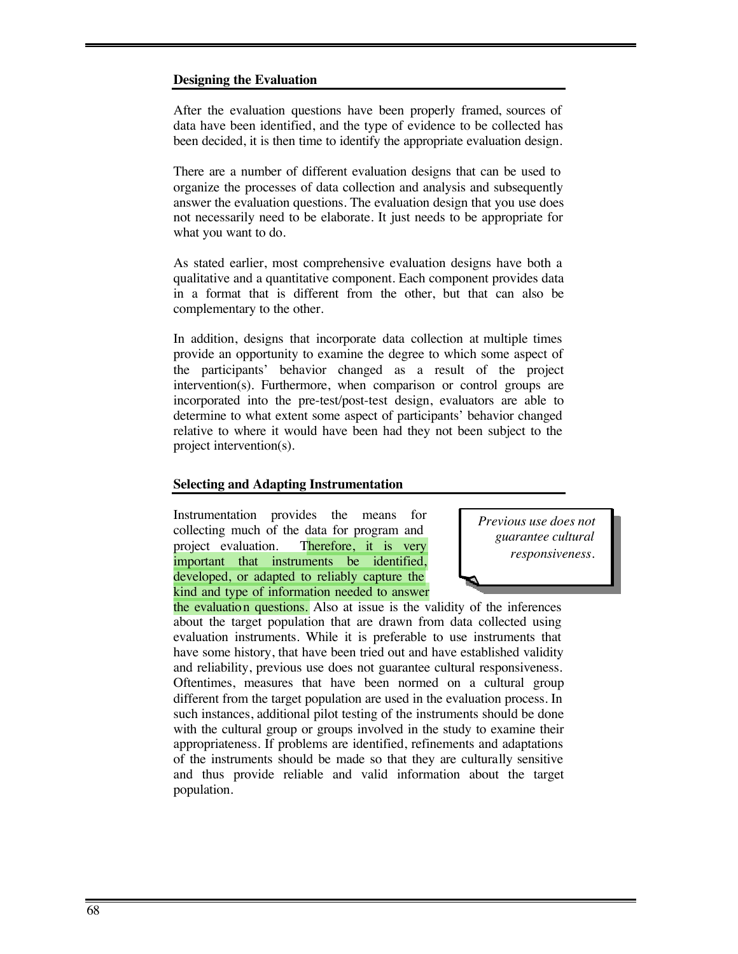# **Designing the Evaluation**

After the evaluation questions have been properly framed, sources of data have been identified, and the type of evidence to be collected has been decided, it is then time to identify the appropriate evaluation design.

There are a number of different evaluation designs that can be used to organize the processes of data collection and analysis and subsequently answer the evaluation questions. The evaluation design that you use does not necessarily need to be elaborate. It just needs to be appropriate for what you want to do.

As stated earlier, most comprehensive evaluation designs have both a qualitative and a quantitative component. Each component provides data in a format that is different from the other, but that can also be complementary to the other.

In addition, designs that incorporate data collection at multiple times provide an opportunity to examine the degree to which some aspect of the participants' behavior changed as a result of the project intervention(s). Furthermore, when comparison or control groups are incorporated into the pre-test/post-test design, evaluators are able to determine to what extent some aspect of participants' behavior changed relative to where it would have been had they not been subject to the project intervention(s).

# **Selecting and Adapting Instrumentation**

Instrumentation provides the means for collecting much of the data for program and project evaluation. Therefore, it is very important that instruments be identified, developed, or adapted to reliably capture the kind and type of information needed to answer

*Previous use does not guarantee cultural responsiveness.*

the evaluation questions. Also at issue is the validity of the inferences about the target population that are drawn from data collected using evaluation instruments. While it is preferable to use instruments that have some history, that have been tried out and have established validity and reliability, previous use does not guarantee cultural responsiveness. Oftentimes, measures that have been normed on a cultural group different from the target population are used in the evaluation process. In such instances, additional pilot testing of the instruments should be done with the cultural group or groups involved in the study to examine their appropriateness. If problems are identified, refinements and adaptations of the instruments should be made so that they are culturally sensitive and thus provide reliable and valid information about the target population.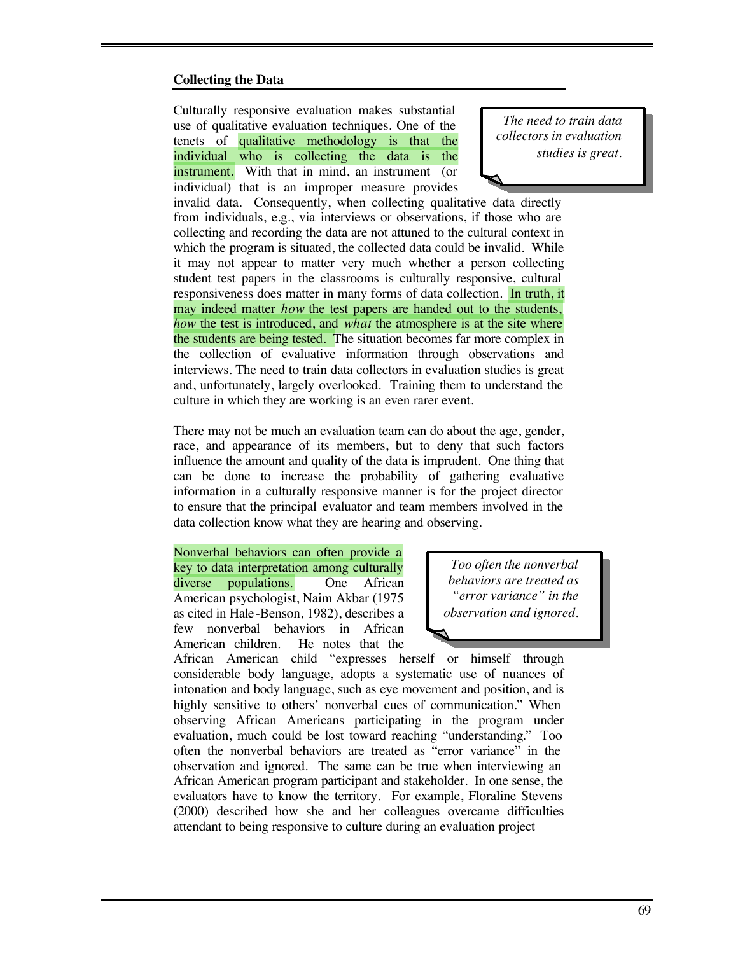#### **Collecting the Data**

Culturally responsive evaluation makes substantial use of qualitative evaluation techniques. One of the tenets of qualitative methodology is that the individual who is collecting the data is the instrument. With that in mind, an instrument (or individual) that is an improper measure provides

*The need to train data collectors in evaluation studies is great.*

invalid data. Consequently, when collecting qualitative data directly from individuals, e.g., via interviews or observations, if those who are collecting and recording the data are not attuned to the cultural context in which the program is situated, the collected data could be invalid. While it may not appear to matter very much whether a person collecting student test papers in the classrooms is culturally responsive, cultural responsiveness does matter in many forms of data collection. In truth, it may indeed matter *how* the test papers are handed out to the students, *how* the test is introduced, and *what* the atmosphere is at the site where the students are being tested. The situation becomes far more complex in the collection of evaluative information through observations and interviews. The need to train data collectors in evaluation studies is great and, unfortunately, largely overlooked. Training them to understand the culture in which they are working is an even rarer event.

There may not be much an evaluation team can do about the age, gender, race, and appearance of its members, but to deny that such factors influence the amount and quality of the data is imprudent. One thing that can be done to increase the probability of gathering evaluative information in a culturally responsive manner is for the project director to ensure that the principal evaluator and team members involved in the data collection know what they are hearing and observing.

Nonverbal behaviors can often provide a key to data interpretation among culturally diverse populations. One African American psychologist, Naim Akbar (1975 as cited in Hale-Benson, 1982), describes a few nonverbal behaviors in African American children. He notes that the

*Too often the nonverbal behaviors are treated as "error variance" in the observation and ignored.*

African American child "expresses herself or himself through considerable body language, adopts a systematic use of nuances of intonation and body language, such as eye movement and position, and is highly sensitive to others' nonverbal cues of communication." When observing African Americans participating in the program under evaluation, much could be lost toward reaching "understanding." Too often the nonverbal behaviors are treated as "error variance" in the observation and ignored. The same can be true when interviewing an African American program participant and stakeholder. In one sense, the evaluators have to know the territory. For example, Floraline Stevens (2000) described how she and her colleagues overcame difficulties attendant to being responsive to culture during an evaluation project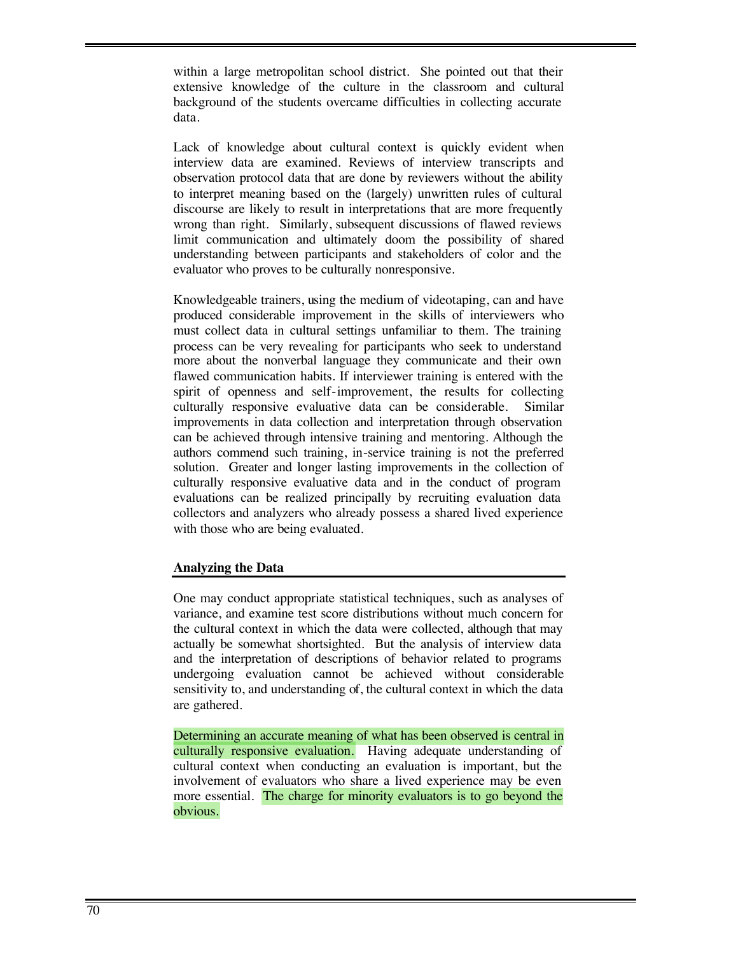within a large metropolitan school district. She pointed out that their extensive knowledge of the culture in the classroom and cultural background of the students overcame difficulties in collecting accurate data.

Lack of knowledge about cultural context is quickly evident when interview data are examined. Reviews of interview transcripts and observation protocol data that are done by reviewers without the ability to interpret meaning based on the (largely) unwritten rules of cultural discourse are likely to result in interpretations that are more frequently wrong than right. Similarly, subsequent discussions of flawed reviews limit communication and ultimately doom the possibility of shared understanding between participants and stakeholders of color and the evaluator who proves to be culturally nonresponsive.

Knowledgeable trainers, using the medium of videotaping, can and have produced considerable improvement in the skills of interviewers who must collect data in cultural settings unfamiliar to them. The training process can be very revealing for participants who seek to understand more about the nonverbal language they communicate and their own flawed communication habits. If interviewer training is entered with the spirit of openness and self-improvement, the results for collecting culturally responsive evaluative data can be considerable. Similar improvements in data collection and interpretation through observation can be achieved through intensive training and mentoring. Although the authors commend such training, in-service training is not the preferred solution. Greater and longer lasting improvements in the collection of culturally responsive evaluative data and in the conduct of program evaluations can be realized principally by recruiting evaluation data collectors and analyzers who already possess a shared lived experience with those who are being evaluated.

# **Analyzing the Data**

One may conduct appropriate statistical techniques, such as analyses of variance, and examine test score distributions without much concern for the cultural context in which the data were collected, although that may actually be somewhat shortsighted. But the analysis of interview data and the interpretation of descriptions of behavior related to programs undergoing evaluation cannot be achieved without considerable sensitivity to, and understanding of, the cultural context in which the data are gathered.

Determining an accurate meaning of what has been observed is central in culturally responsive evaluation. Having adequate understanding of cultural context when conducting an evaluation is important, but the involvement of evaluators who share a lived experience may be even more essential. The charge for minority evaluators is to go beyond the obvious.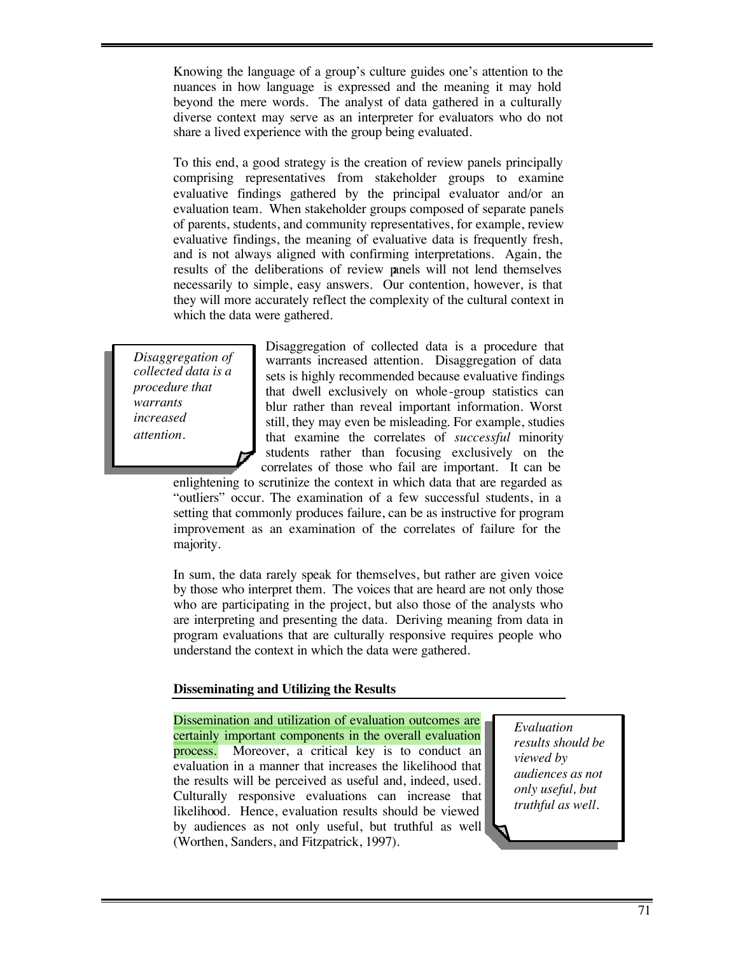Knowing the language of a group's culture guides one's attention to the nuances in how language is expressed and the meaning it may hold beyond the mere words. The analyst of data gathered in a culturally diverse context may serve as an interpreter for evaluators who do not share a lived experience with the group being evaluated.

To this end, a good strategy is the creation of review panels principally comprising representatives from stakeholder groups to examine evaluative findings gathered by the principal evaluator and/or an evaluation team. When stakeholder groups composed of separate panels of parents, students, and community representatives, for example, review evaluative findings, the meaning of evaluative data is frequently fresh, and is not always aligned with confirming interpretations. Again, the results of the deliberations of review panels will not lend themselves necessarily to simple, easy answers. Our contention, however, is that they will more accurately reflect the complexity of the cultural context in which the data were gathered.

*Disaggregation of collected data is a procedure that warrants increased attention.*

Disaggregation of collected data is a procedure that warrants increased attention. Disaggregation of data sets is highly recommended because evaluative findings that dwell exclusively on whole -group statistics can blur rather than reveal important information. Worst still, they may even be misleading. For example, studies that examine the correlates of *successful* minority students rather than focusing exclusively on the correlates of those who fail are important. It can be

enlightening to scrutinize the context in which data that are regarded as "outliers" occur. The examination of a few successful students, in a setting that commonly produces failure, can be as instructive for program improvement as an examination of the correlates of failure for the majority.

In sum, the data rarely speak for themselves, but rather are given voice by those who interpret them. The voices that are heard are not only those who are participating in the project, but also those of the analysts who are interpreting and presenting the data. Deriving meaning from data in program evaluations that are culturally responsive requires people who understand the context in which the data were gathered.

## **Disseminating and Utilizing the Results**

Dissemination and utilization of evaluation outcomes are certainly important components in the overall evaluation process. Moreover, a critical key is to conduct an evaluation in a manner that increases the likelihood that the results will be perceived as useful and, indeed, used. Culturally responsive evaluations can increase that likelihood. Hence, evaluation results should be viewed by audiences as not only useful, but truthful as well (Worthen, Sanders, and Fitzpatrick, 1997).

*Evaluation results should be viewed by audiences as not only useful, but truthful as well.*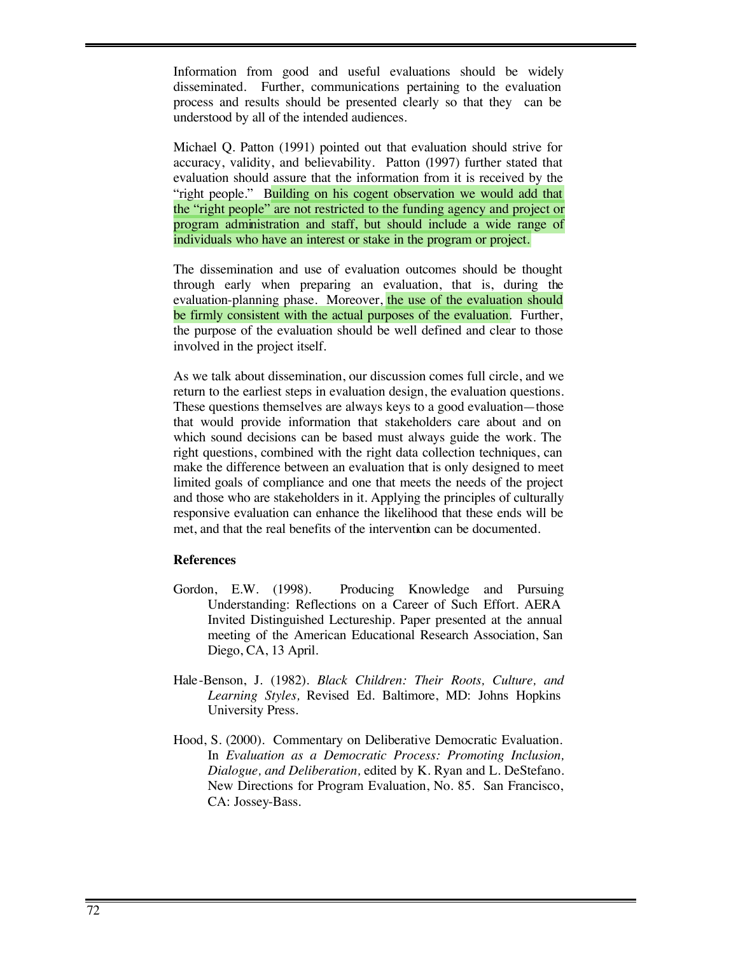Information from good and useful evaluations should be widely disseminated. Further, communications pertaining to the evaluation process and results should be presented clearly so that they can be understood by all of the intended audiences.

Michael Q. Patton (1991) pointed out that evaluation should strive for accuracy, validity, and believability. Patton (1997) further stated that evaluation should assure that the information from it is received by the "right people." Building on his cogent observation we would add that the "right people" are not restricted to the funding agency and project or program administration and staff, but should include a wide range of individuals who have an interest or stake in the program or project.

The dissemination and use of evaluation outcomes should be thought through early when preparing an evaluation, that is, during the evaluation-planning phase. Moreover, the use of the evaluation should be firmly consistent with the actual purposes of the evaluation. Further, the purpose of the evaluation should be well defined and clear to those involved in the project itself.

As we talk about dissemination, our discussion comes full circle, and we return to the earliest steps in evaluation design, the evaluation questions. These questions themselves are always keys to a good evaluation—those that would provide information that stakeholders care about and on which sound decisions can be based must always guide the work. The right questions, combined with the right data collection techniques, can make the difference between an evaluation that is only designed to meet limited goals of compliance and one that meets the needs of the project and those who are stakeholders in it. Applying the principles of culturally responsive evaluation can enhance the likelihood that these ends will be met, and that the real benefits of the intervention can be documented.

#### **References**

- Gordon, E.W. (1998). Producing Knowledge and Pursuing Understanding: Reflections on a Career of Such Effort. AERA Invited Distinguished Lectureship. Paper presented at the annual meeting of the American Educational Research Association, San Diego, CA, 13 April.
- Hale-Benson, J. (1982). *Black Children: Their Roots, Culture, and Learning Styles,* Revised Ed. Baltimore, MD: Johns Hopkins University Press.
- Hood, S. (2000). Commentary on Deliberative Democratic Evaluation. In *Evaluation as a Democratic Process: Promoting Inclusion, Dialogue, and Deliberation,* edited by K. Ryan and L. DeStefano. New Directions for Program Evaluation, No. 85. San Francisco, CA: Jossey-Bass.